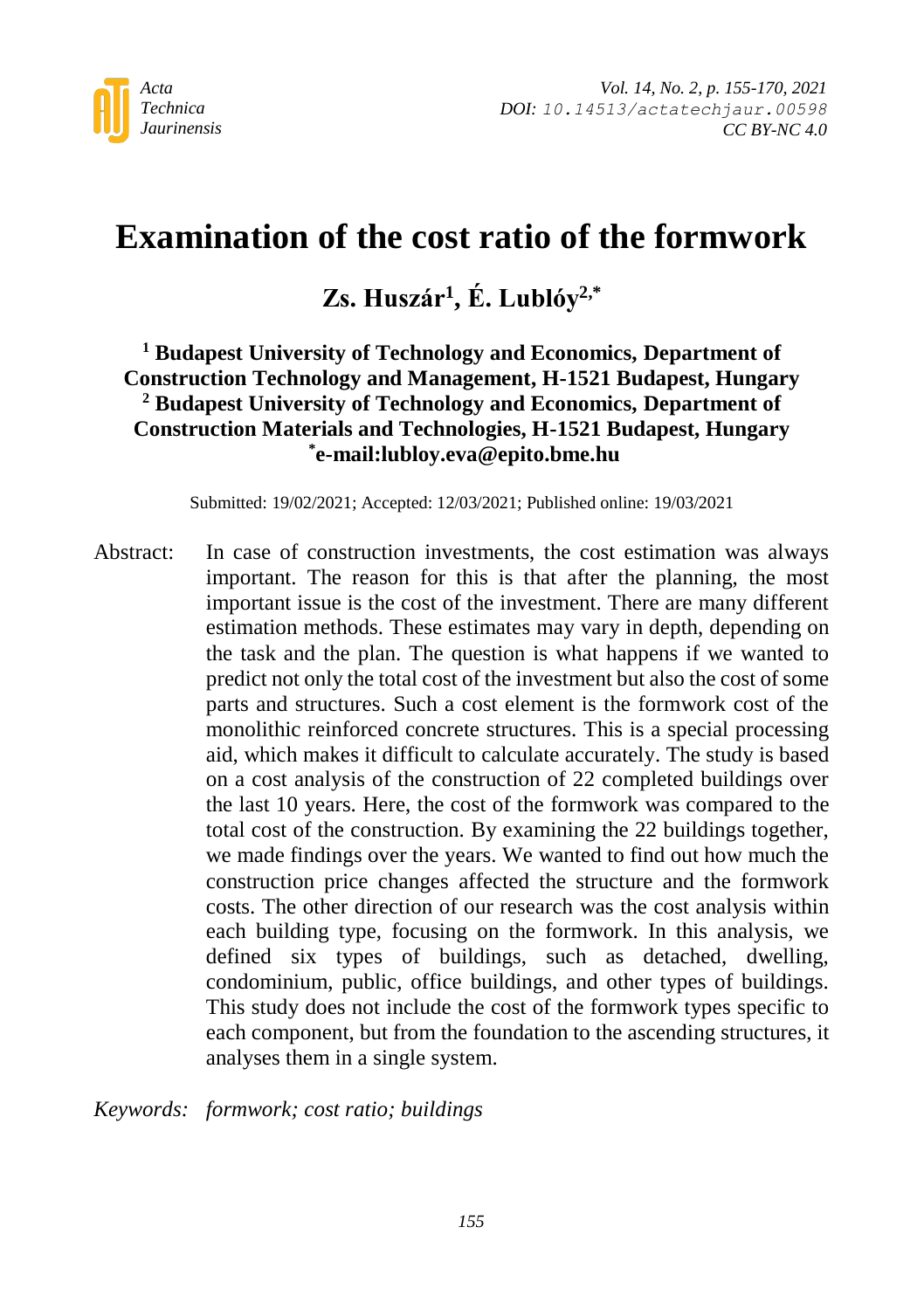

# **Examination of the cost ratio of the formwork**

## **Zs. Huszár<sup>1</sup> , É. Lublóy2,\***

### **<sup>1</sup> Budapest University of Technology and Economics, Department of Construction Technology and Management, H-1521 Budapest, Hungary <sup>2</sup> Budapest University of Technology and Economics, Department of Construction Materials and Technologies, H-1521 Budapest, Hungary \* e-mail:lubloy.eva@epito.bme.hu**

Submitted: 19/02/2021; Accepted: 12/03/2021; Published online: 19/03/2021

Abstract: In case of construction investments, the cost estimation was always important. The reason for this is that after the planning, the most important issue is the cost of the investment. There are many different estimation methods. These estimates may vary in depth, depending on the task and the plan. The question is what happens if we wanted to predict not only the total cost of the investment but also the cost of some parts and structures. Such a cost element is the formwork cost of the monolithic reinforced concrete structures. This is a special processing aid, which makes it difficult to calculate accurately. The study is based on a cost analysis of the construction of 22 completed buildings over the last 10 years. Here, the cost of the formwork was compared to the total cost of the construction. By examining the 22 buildings together, we made findings over the years. We wanted to find out how much the construction price changes affected the structure and the formwork costs. The other direction of our research was the cost analysis within each building type, focusing on the formwork. In this analysis, we defined six types of buildings, such as detached, dwelling, condominium, public, office buildings, and other types of buildings. This study does not include the cost of the formwork types specific to each component, but from the foundation to the ascending structures, it analyses them in a single system.

*Keywords: formwork; cost ratio; buildings*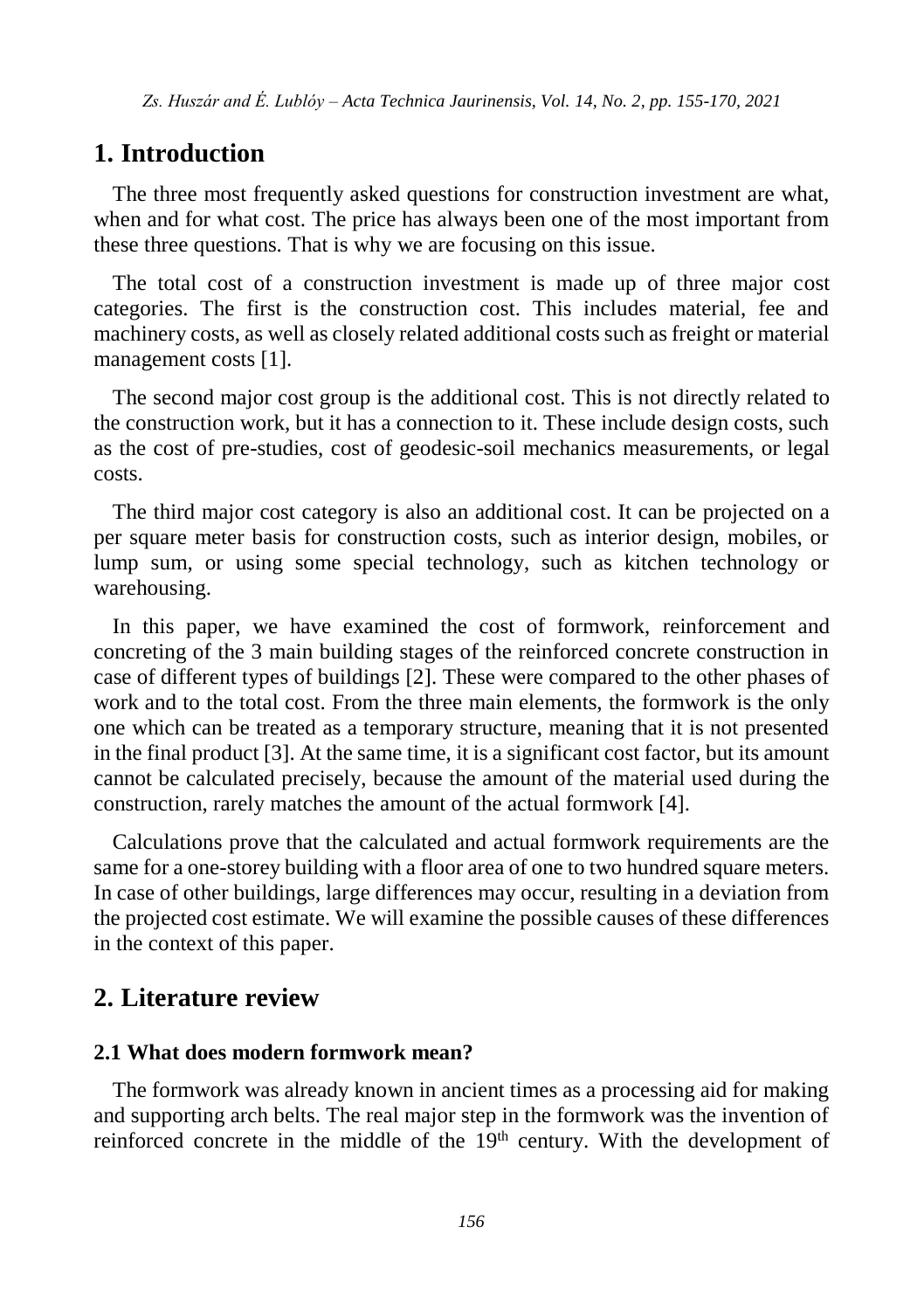## **1. Introduction**

The three most frequently asked questions for construction investment are what, when and for what cost. The price has always been one of the most important from these three questions. That is why we are focusing on this issue.

The total cost of a construction investment is made up of three major cost categories. The first is the construction cost. This includes material, fee and machinery costs, as well as closely related additional costs such as freight or material management costs [1].

The second major cost group is the additional cost. This is not directly related to the construction work, but it has a connection to it. These include design costs, such as the cost of pre-studies, cost of geodesic-soil mechanics measurements, or legal costs.

The third major cost category is also an additional cost. It can be projected on a per square meter basis for construction costs, such as interior design, mobiles, or lump sum, or using some special technology, such as kitchen technology or warehousing.

In this paper, we have examined the cost of formwork, reinforcement and concreting of the 3 main building stages of the reinforced concrete construction in case of different types of buildings [2]. These were compared to the other phases of work and to the total cost. From the three main elements, the formwork is the only one which can be treated as a temporary structure, meaning that it is not presented in the final product [3]. At the same time, it is a significant cost factor, but its amount cannot be calculated precisely, because the amount of the material used during the construction, rarely matches the amount of the actual formwork [4].

Calculations prove that the calculated and actual formwork requirements are the same for a one-storey building with a floor area of one to two hundred square meters. In case of other buildings, large differences may occur, resulting in a deviation from the projected cost estimate. We will examine the possible causes of these differences in the context of this paper.

## **2. Literature review**

#### **2.1 What does modern formwork mean?**

The formwork was already known in ancient times as a processing aid for making and supporting arch belts. The real major step in the formwork was the invention of reinforced concrete in the middle of the 19<sup>th</sup> century. With the development of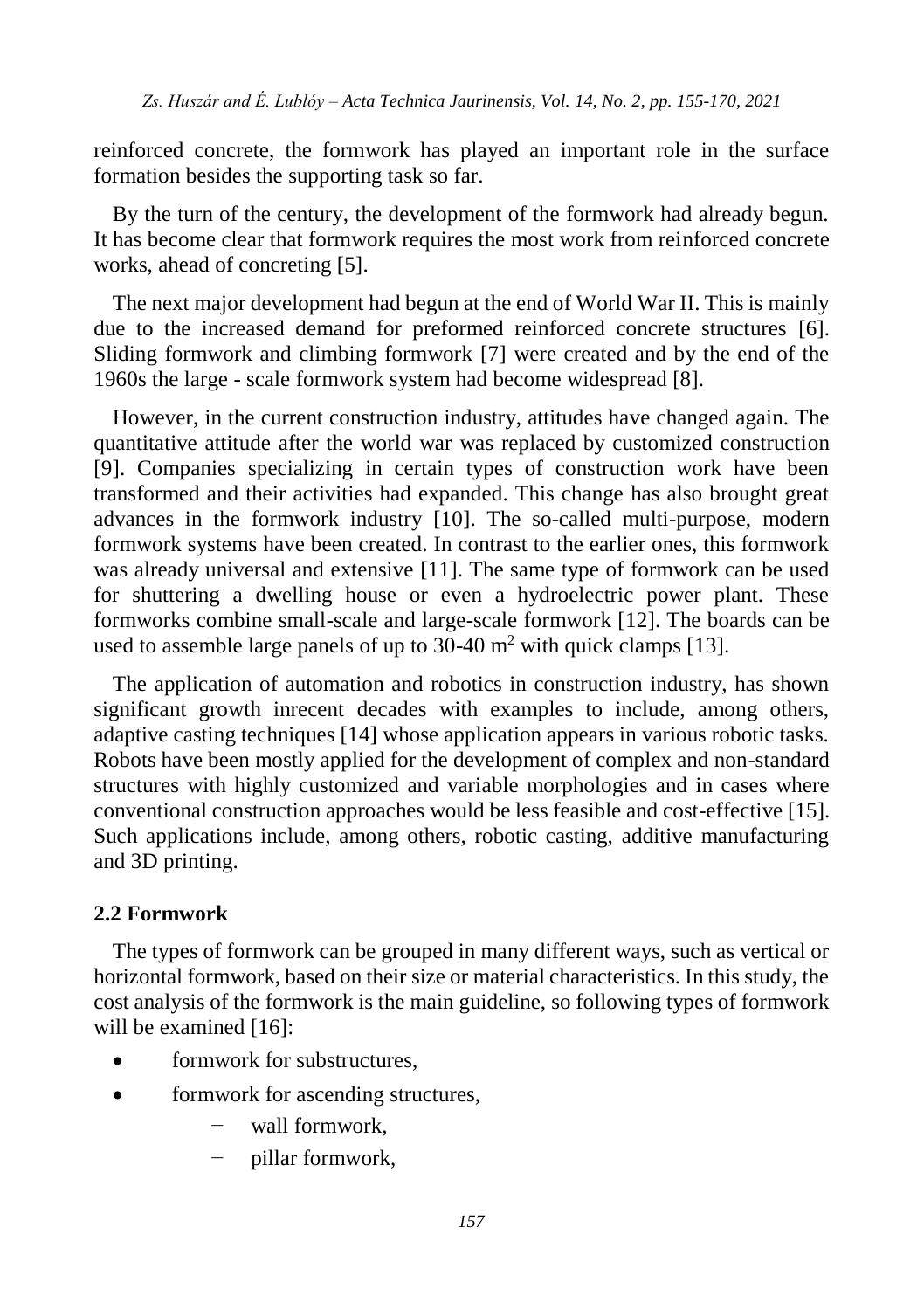reinforced concrete, the formwork has played an important role in the surface formation besides the supporting task so far.

By the turn of the century, the development of the formwork had already begun. It has become clear that formwork requires the most work from reinforced concrete works, ahead of concreting [5].

The next major development had begun at the end of World War II. This is mainly due to the increased demand for preformed reinforced concrete structures [6]. Sliding formwork and climbing formwork [7] were created and by the end of the 1960s the large - scale formwork system had become widespread [8].

However, in the current construction industry, attitudes have changed again. The quantitative attitude after the world war was replaced by customized construction [9]. Companies specializing in certain types of construction work have been transformed and their activities had expanded. This change has also brought great advances in the formwork industry [10]. The so-called multi-purpose, modern formwork systems have been created. In contrast to the earlier ones, this formwork was already universal and extensive [11]. The same type of formwork can be used for shuttering a dwelling house or even a hydroelectric power plant. These formworks combine small-scale and large-scale formwork [12]. The boards can be used to assemble large panels of up to  $30-40$  m<sup>2</sup> with quick clamps [13].

The application of automation and robotics in construction industry, has shown significant growth inrecent decades with examples to include, among others, adaptive casting techniques [14] whose application appears in various robotic tasks. Robots have been mostly applied for the development of complex and non-standard structures with highly customized and variable morphologies and in cases where conventional construction approaches would be less feasible and cost-effective [15]. Such applications include, among others, robotic casting, additive manufacturing and 3D printing.

#### **2.2 Formwork**

The types of formwork can be grouped in many different ways, such as vertical or horizontal formwork, based on their size or material characteristics. In this study, the cost analysis of the formwork is the main guideline, so following types of formwork will be examined [16]:

- formwork for substructures,
- formwork for ascending structures,
	- wall formwork.
	- − pillar formwork,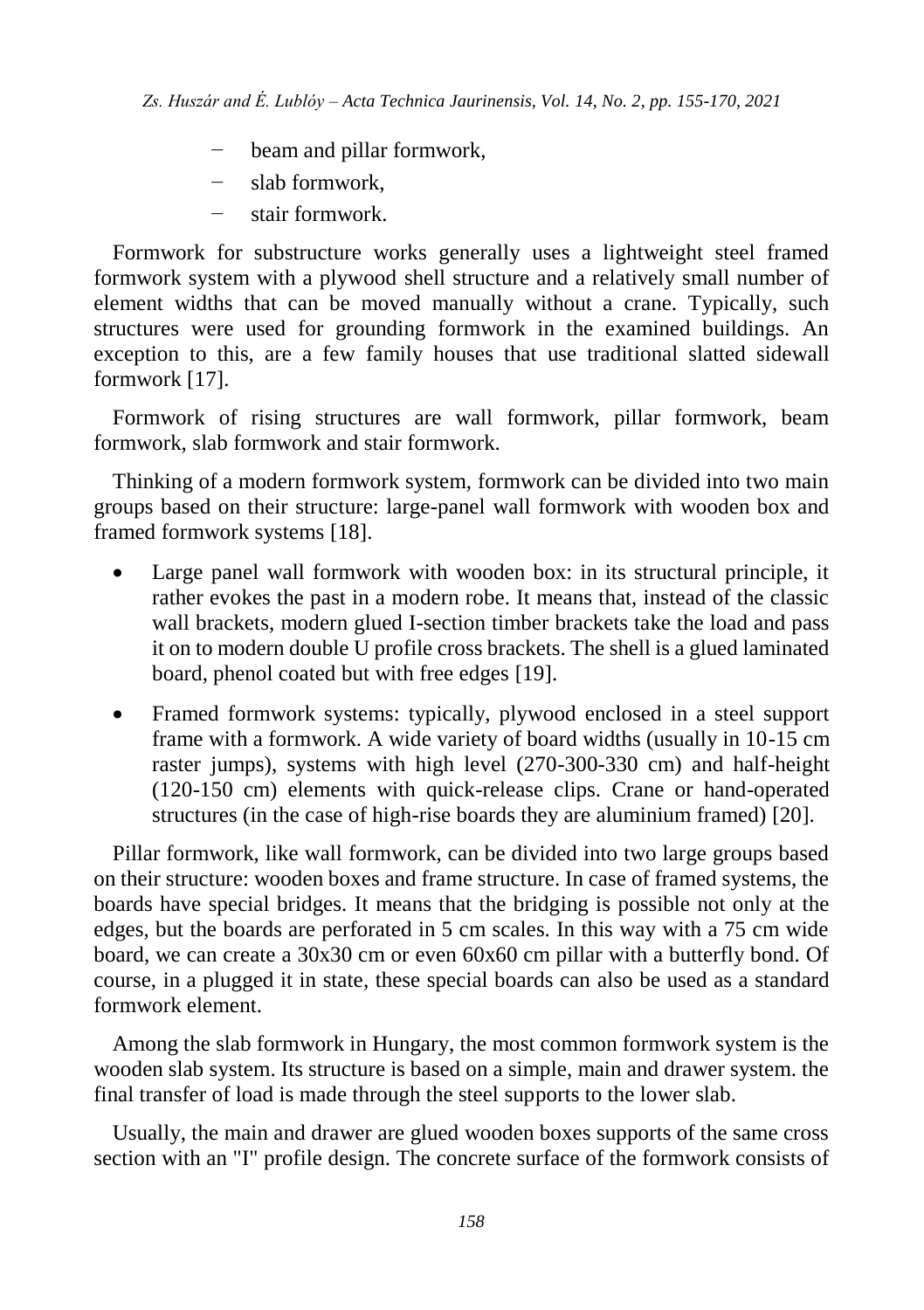- − beam and pillar formwork,
- − slab formwork,
- − stair formwork.

Formwork for substructure works generally uses a lightweight steel framed formwork system with a plywood shell structure and a relatively small number of element widths that can be moved manually without a crane. Typically, such structures were used for grounding formwork in the examined buildings. An exception to this, are a few family houses that use traditional slatted sidewall formwork [17].

Formwork of rising structures are wall formwork, pillar formwork, beam formwork, slab formwork and stair formwork.

Thinking of a modern formwork system, formwork can be divided into two main groups based on their structure: large-panel wall formwork with wooden box and framed formwork systems [18].

- Large panel wall formwork with wooden box: in its structural principle, it rather evokes the past in a modern robe. It means that, instead of the classic wall brackets, modern glued I-section timber brackets take the load and pass it on to modern double U profile cross brackets. The shell is a glued laminated board, phenol coated but with free edges [19].
- Framed formwork systems: typically, plywood enclosed in a steel support frame with a formwork. A wide variety of board widths (usually in 10-15 cm raster jumps), systems with high level (270-300-330 cm) and half-height (120-150 cm) elements with quick-release clips. Crane or hand-operated structures (in the case of high-rise boards they are aluminium framed) [20].

Pillar formwork, like wall formwork, can be divided into two large groups based on their structure: wooden boxes and frame structure. In case of framed systems, the boards have special bridges. It means that the bridging is possible not only at the edges, but the boards are perforated in 5 cm scales. In this way with a 75 cm wide board, we can create a 30x30 cm or even 60x60 cm pillar with a butterfly bond. Of course, in a plugged it in state, these special boards can also be used as a standard formwork element.

Among the slab formwork in Hungary, the most common formwork system is the wooden slab system. Its structure is based on a simple, main and drawer system. the final transfer of load is made through the steel supports to the lower slab.

Usually, the main and drawer are glued wooden boxes supports of the same cross section with an "I" profile design. The concrete surface of the formwork consists of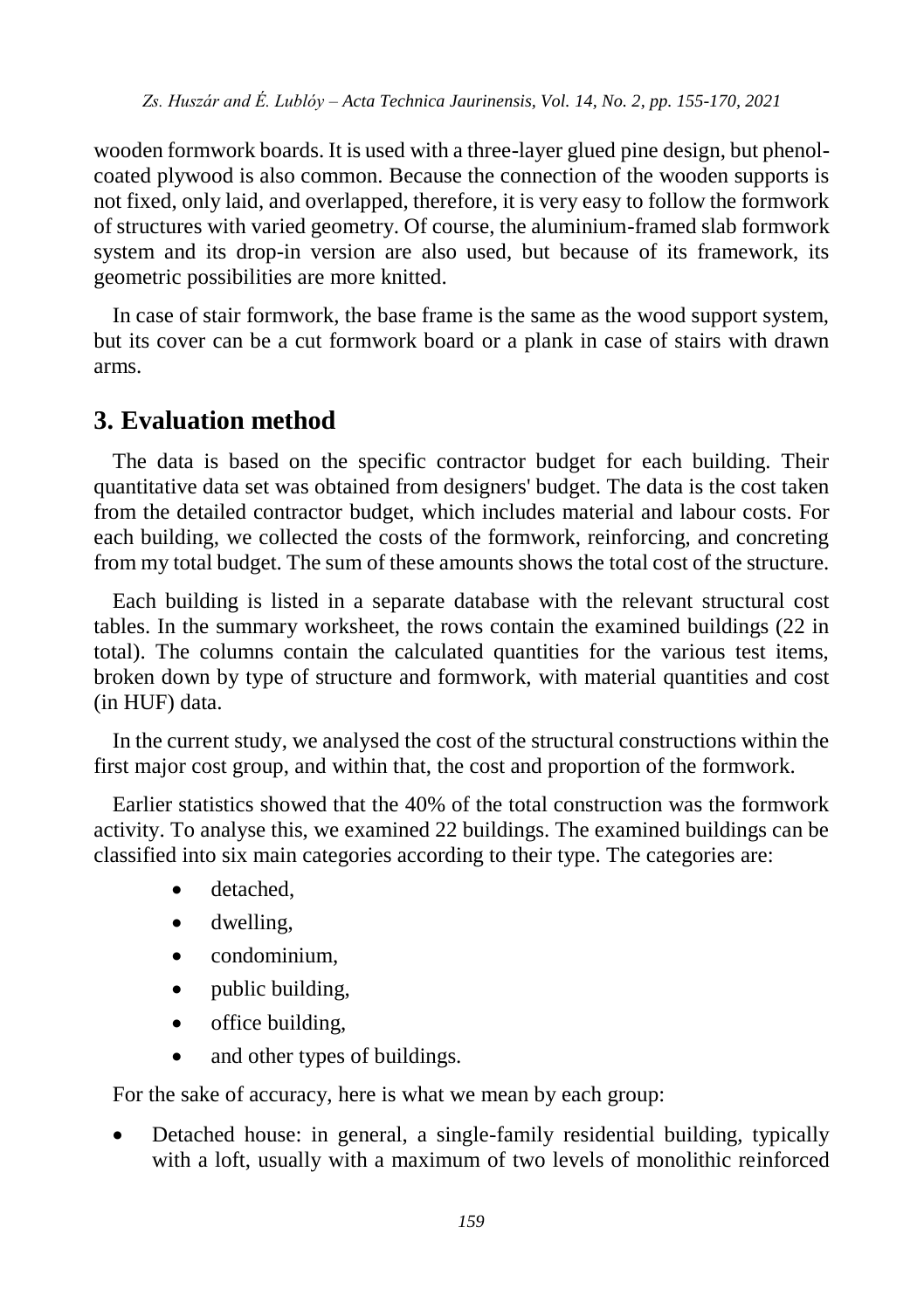wooden formwork boards. It is used with a three-layer glued pine design, but phenolcoated plywood is also common. Because the connection of the wooden supports is not fixed, only laid, and overlapped, therefore, it is very easy to follow the formwork of structures with varied geometry. Of course, the aluminium-framed slab formwork system and its drop-in version are also used, but because of its framework, its geometric possibilities are more knitted.

In case of stair formwork, the base frame is the same as the wood support system, but its cover can be a cut formwork board or a plank in case of stairs with drawn arms.

## **3. Evaluation method**

The data is based on the specific contractor budget for each building. Their quantitative data set was obtained from designers' budget. The data is the cost taken from the detailed contractor budget, which includes material and labour costs. For each building, we collected the costs of the formwork, reinforcing, and concreting from my total budget. The sum of these amounts shows the total cost of the structure.

Each building is listed in a separate database with the relevant structural cost tables. In the summary worksheet, the rows contain the examined buildings (22 in total). The columns contain the calculated quantities for the various test items, broken down by type of structure and formwork, with material quantities and cost (in HUF) data.

In the current study, we analysed the cost of the structural constructions within the first major cost group, and within that, the cost and proportion of the formwork.

Earlier statistics showed that the 40% of the total construction was the formwork activity. To analyse this, we examined 22 buildings. The examined buildings can be classified into six main categories according to their type. The categories are:

- detached.
- dwelling,
- condominium.
- public building,
- office building,
- and other types of buildings.

For the sake of accuracy, here is what we mean by each group:

 Detached house: in general, a single-family residential building, typically with a loft, usually with a maximum of two levels of monolithic reinforced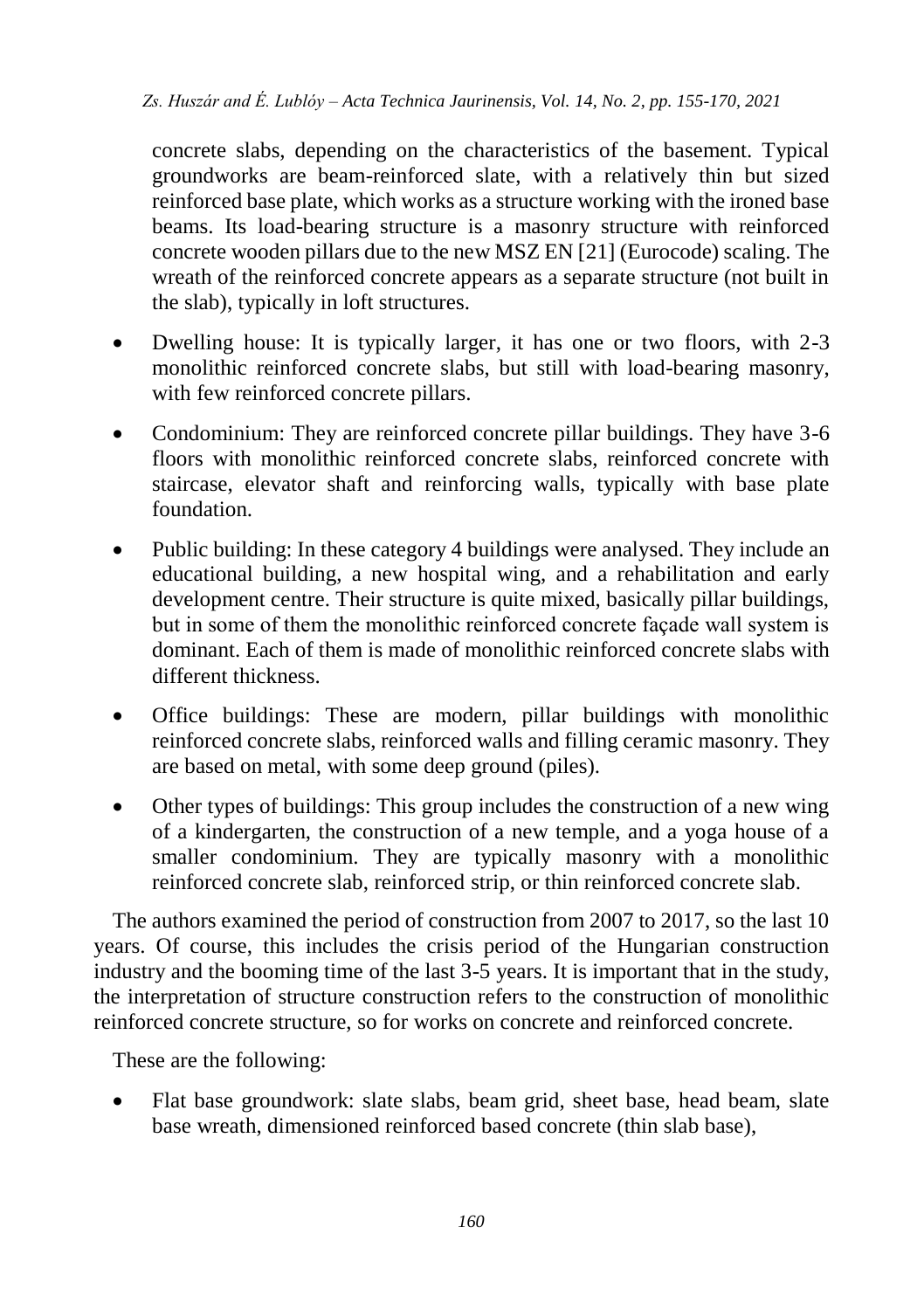concrete slabs, depending on the characteristics of the basement. Typical groundworks are beam-reinforced slate, with a relatively thin but sized reinforced base plate, which works as a structure working with the ironed base beams. Its load-bearing structure is a masonry structure with reinforced concrete wooden pillars due to the new MSZ EN [21] (Eurocode) scaling. The wreath of the reinforced concrete appears as a separate structure (not built in the slab), typically in loft structures.

- Dwelling house: It is typically larger, it has one or two floors, with 2-3 monolithic reinforced concrete slabs, but still with load-bearing masonry, with few reinforced concrete pillars.
- Condominium: They are reinforced concrete pillar buildings. They have 3-6 floors with monolithic reinforced concrete slabs, reinforced concrete with staircase, elevator shaft and reinforcing walls, typically with base plate foundation.
- Public building: In these category 4 buildings were analysed. They include an educational building, a new hospital wing, and a rehabilitation and early development centre. Their structure is quite mixed, basically pillar buildings, but in some of them the monolithic reinforced concrete façade wall system is dominant. Each of them is made of monolithic reinforced concrete slabs with different thickness.
- Office buildings: These are modern, pillar buildings with monolithic reinforced concrete slabs, reinforced walls and filling ceramic masonry. They are based on metal, with some deep ground (piles).
- Other types of buildings: This group includes the construction of a new wing of a kindergarten, the construction of a new temple, and a yoga house of a smaller condominium. They are typically masonry with a monolithic reinforced concrete slab, reinforced strip, or thin reinforced concrete slab.

The authors examined the period of construction from 2007 to 2017, so the last 10 years. Of course, this includes the crisis period of the Hungarian construction industry and the booming time of the last 3-5 years. It is important that in the study, the interpretation of structure construction refers to the construction of monolithic reinforced concrete structure, so for works on concrete and reinforced concrete.

These are the following:

 Flat base groundwork: slate slabs, beam grid, sheet base, head beam, slate base wreath, dimensioned reinforced based concrete (thin slab base),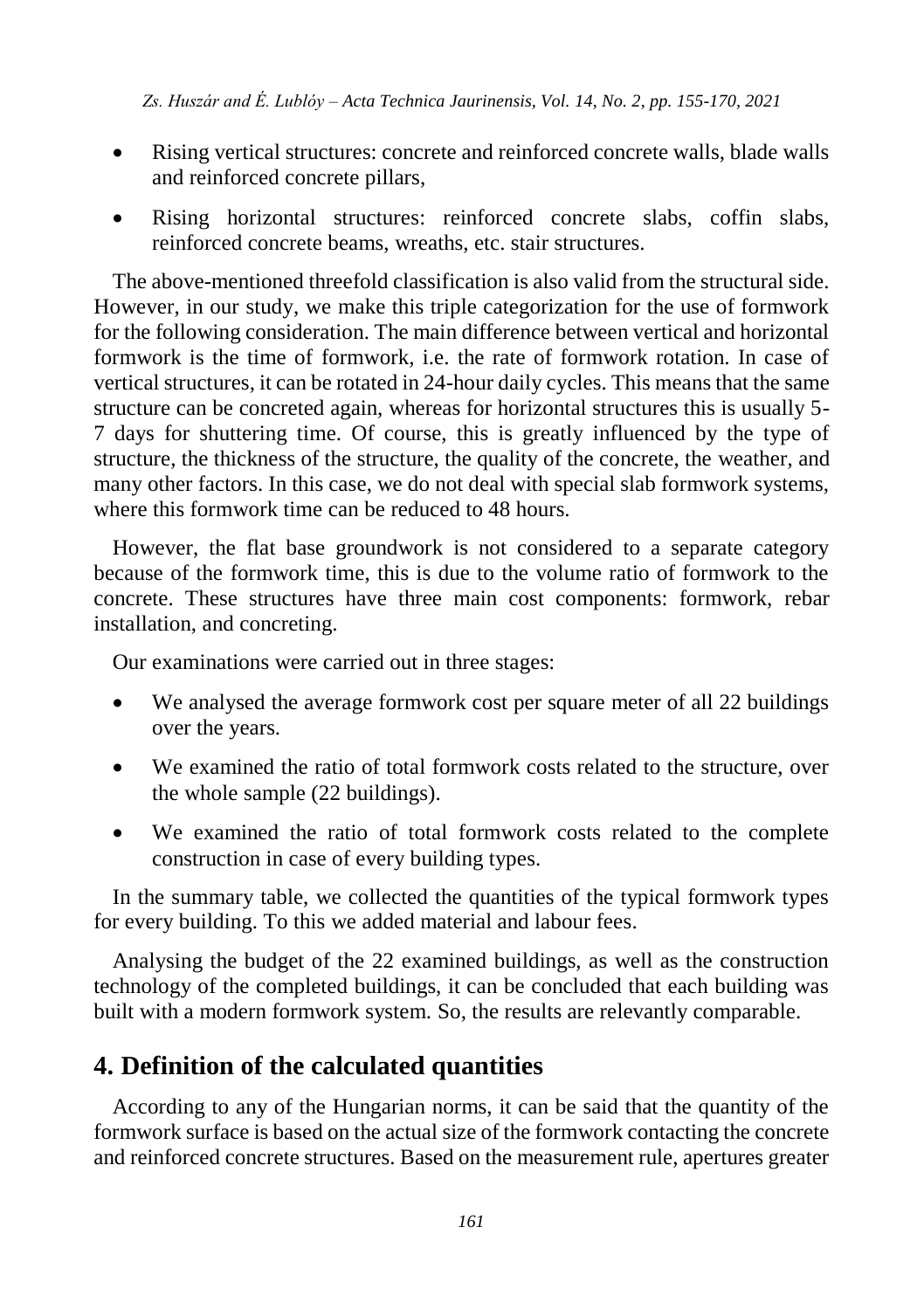- Rising vertical structures: concrete and reinforced concrete walls, blade walls and reinforced concrete pillars,
- Rising horizontal structures: reinforced concrete slabs, coffin slabs, reinforced concrete beams, wreaths, etc. stair structures.

The above-mentioned threefold classification is also valid from the structural side. However, in our study, we make this triple categorization for the use of formwork for the following consideration. The main difference between vertical and horizontal formwork is the time of formwork i.e. the rate of formwork rotation. In case of vertical structures, it can be rotated in 24-hour daily cycles. This means that the same structure can be concreted again, whereas for horizontal structures this is usually 5- 7 days for shuttering time. Of course, this is greatly influenced by the type of structure, the thickness of the structure, the quality of the concrete, the weather, and many other factors. In this case, we do not deal with special slab formwork systems, where this formwork time can be reduced to 48 hours.

However, the flat base groundwork is not considered to a separate category because of the formwork time, this is due to the volume ratio of formwork to the concrete. These structures have three main cost components: formwork, rebar installation, and concreting.

Our examinations were carried out in three stages:

- We analysed the average formwork cost per square meter of all 22 buildings over the years.
- We examined the ratio of total formwork costs related to the structure, over the whole sample (22 buildings).
- We examined the ratio of total formwork costs related to the complete construction in case of every building types.

In the summary table, we collected the quantities of the typical formwork types for every building. To this we added material and labour fees.

Analysing the budget of the 22 examined buildings, as well as the construction technology of the completed buildings, it can be concluded that each building was built with a modern formwork system. So, the results are relevantly comparable.

## **4. Definition of the calculated quantities**

According to any of the Hungarian norms, it can be said that the quantity of the formwork surface is based on the actual size of the formwork contacting the concrete and reinforced concrete structures. Based on the measurement rule, apertures greater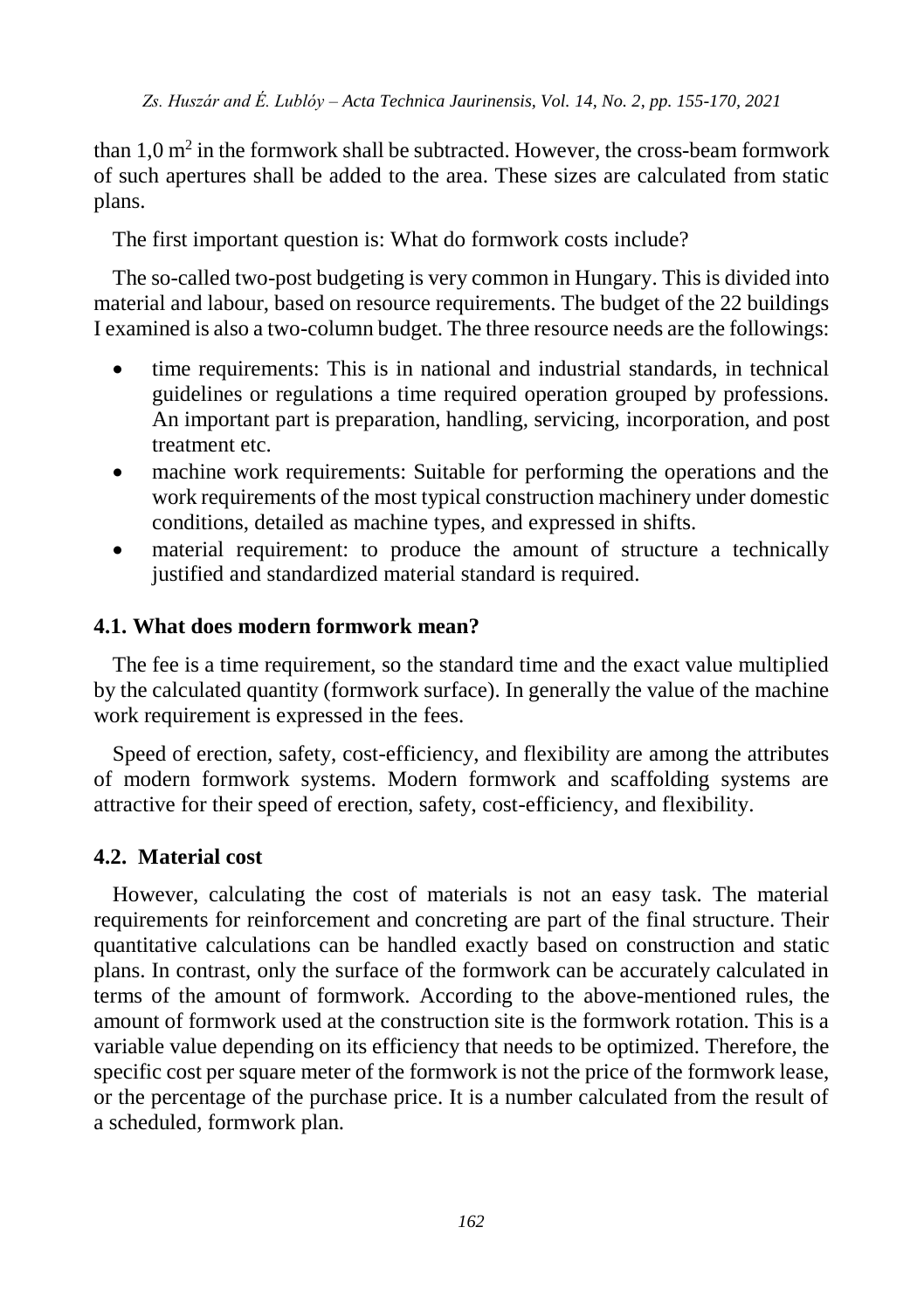than  $1,0$  m<sup>2</sup> in the formwork shall be subtracted. However, the cross-beam formwork of such apertures shall be added to the area. These sizes are calculated from static plans.

The first important question is: What do formwork costs include?

The so-called two-post budgeting is very common in Hungary. This is divided into material and labour, based on resource requirements. The budget of the 22 buildings I examined is also a two-column budget. The three resource needs are the followings:

- time requirements: This is in national and industrial standards, in technical guidelines or regulations a time required operation grouped by professions. An important part is preparation, handling, servicing, incorporation, and post treatment etc.
- machine work requirements: Suitable for performing the operations and the work requirements of the most typical construction machinery under domestic conditions, detailed as machine types, and expressed in shifts.
- material requirement: to produce the amount of structure a technically justified and standardized material standard is required.

#### **4.1. What does modern formwork mean?**

The fee is a time requirement, so the standard time and the exact value multiplied by the calculated quantity (formwork surface). In generally the value of the machine work requirement is expressed in the fees.

Speed of erection, safety, cost-efficiency, and flexibility are among the attributes of modern formwork systems. Modern formwork and scaffolding systems are attractive for their speed of erection, safety, cost-efficiency, and flexibility.

### **4.2. Material cost**

However, calculating the cost of materials is not an easy task. The material requirements for reinforcement and concreting are part of the final structure. Their quantitative calculations can be handled exactly based on construction and static plans. In contrast, only the surface of the formwork can be accurately calculated in terms of the amount of formwork. According to the above-mentioned rules, the amount of formwork used at the construction site is the formwork rotation. This is a variable value depending on its efficiency that needs to be optimized. Therefore, the specific cost per square meter of the formwork is not the price of the formwork lease, or the percentage of the purchase price. It is a number calculated from the result of a scheduled, formwork plan.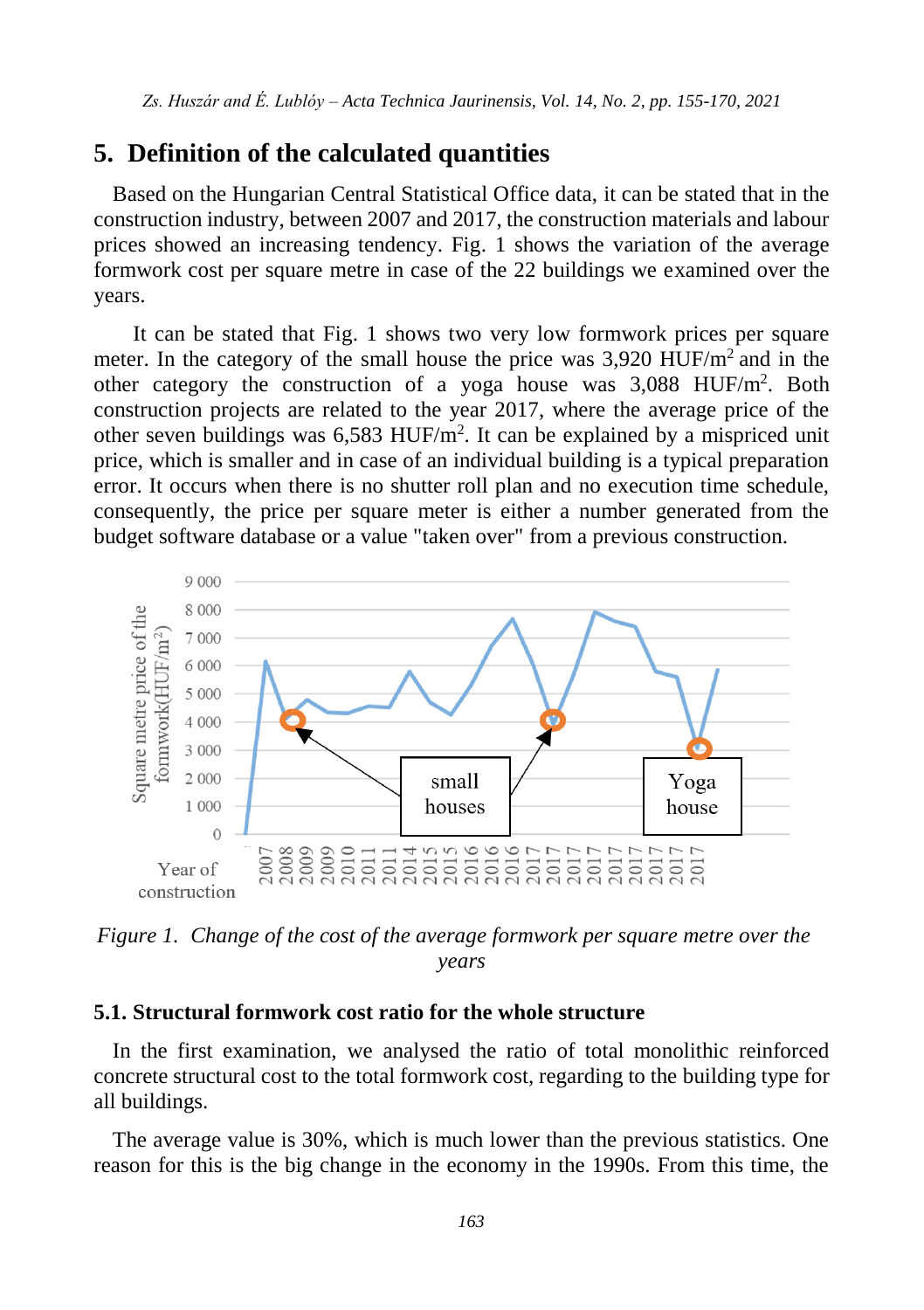## **5. Definition of the calculated quantities**

Based on the Hungarian Central Statistical Office data, it can be stated that in the construction industry, between 2007 and 2017, the construction materials and labour prices showed an increasing tendency. Fig. 1 shows the variation of the average formwork cost per square metre in case of the 22 buildings we examined over the years.

It can be stated that Fig. 1 shows two very low formwork prices per square meter. In the category of the small house the price was  $3.920$  HUF/m<sup>2</sup> and in the other category the construction of a yoga house was 3,088 HUF/m<sup>2</sup>. Both construction projects are related to the year 2017, where the average price of the other seven buildings was 6,583 HUF/m<sup>2</sup>. It can be explained by a mispriced unit price, which is smaller and in case of an individual building is a typical preparation error. It occurs when there is no shutter roll plan and no execution time schedule, consequently, the price per square meter is either a number generated from the budget software database or a value "taken over" from a previous construction.



*Figure 1. Change of the cost of the average formwork per square metre over the years*

#### **5.1. Structural formwork cost ratio for the whole structure**

In the first examination, we analysed the ratio of total monolithic reinforced concrete structural cost to the total formwork cost, regarding to the building type for all buildings.

The average value is 30%, which is much lower than the previous statistics. One reason for this is the big change in the economy in the 1990s. From this time, the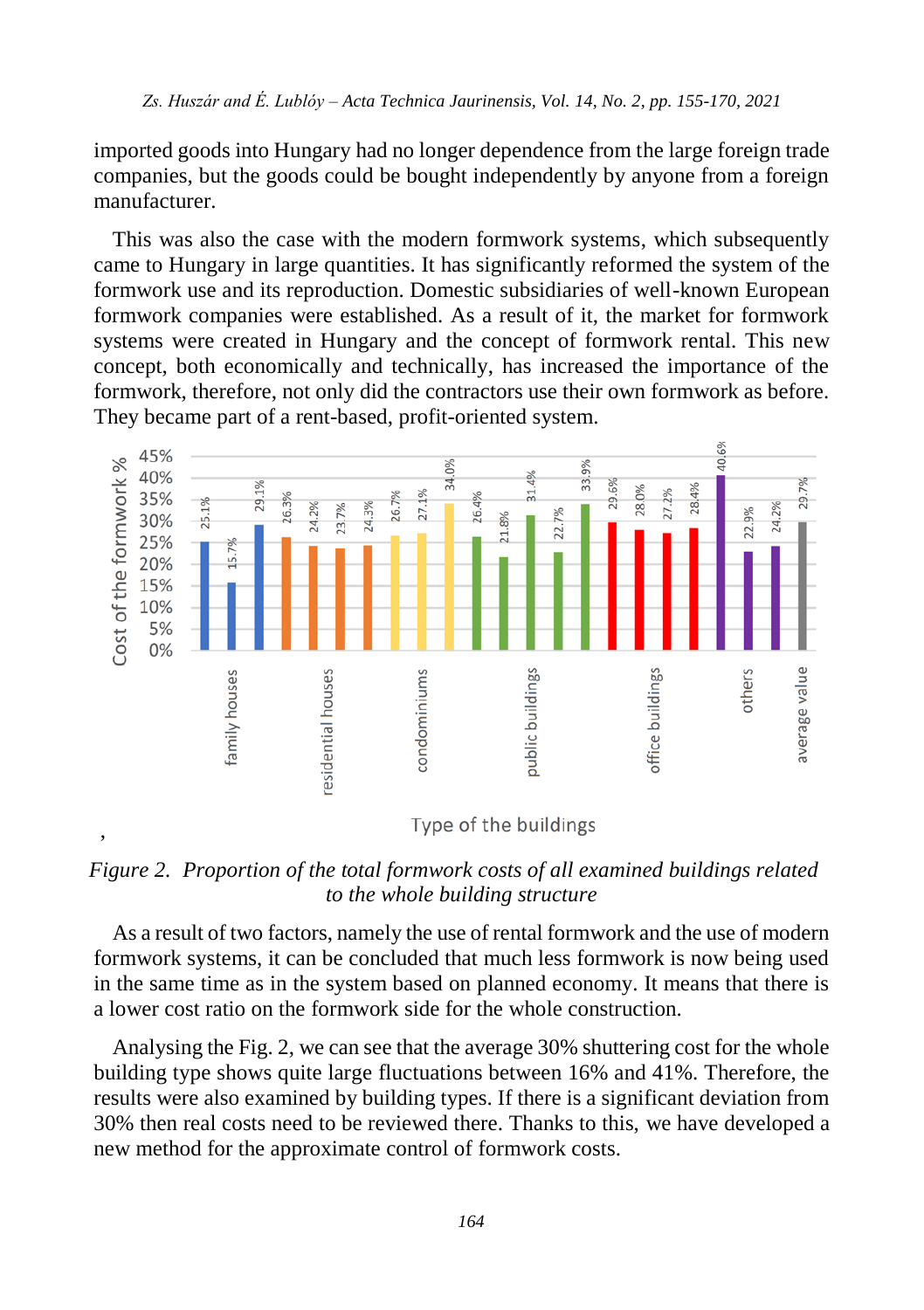imported goods into Hungary had no longer dependence from the large foreign trade companies, but the goods could be bought independently by anyone from a foreign manufacturer.

This was also the case with the modern formwork systems, which subsequently came to Hungary in large quantities. It has significantly reformed the system of the formwork use and its reproduction. Domestic subsidiaries of well-known European formwork companies were established. As a result of it, the market for formwork systems were created in Hungary and the concept of formwork rental. This new concept, both economically and technically, has increased the importance of the formwork, therefore, not only did the contractors use their own formwork as before. They became part of a rent-based, profit-oriented system.



*Figure 2. Proportion of the total formwork costs of all examined buildings related to the whole building structure*

As a result of two factors, namely the use of rental formwork and the use of modern formwork systems, it can be concluded that much less formwork is now being used in the same time as in the system based on planned economy. It means that there is a lower cost ratio on the formwork side for the whole construction.

Analysing the Fig. 2, we can see that the average 30% shuttering cost for the whole building type shows quite large fluctuations between 16% and 41%. Therefore, the results were also examined by building types. If there is a significant deviation from 30% then real costs need to be reviewed there. Thanks to this, we have developed a new method for the approximate control of formwork costs.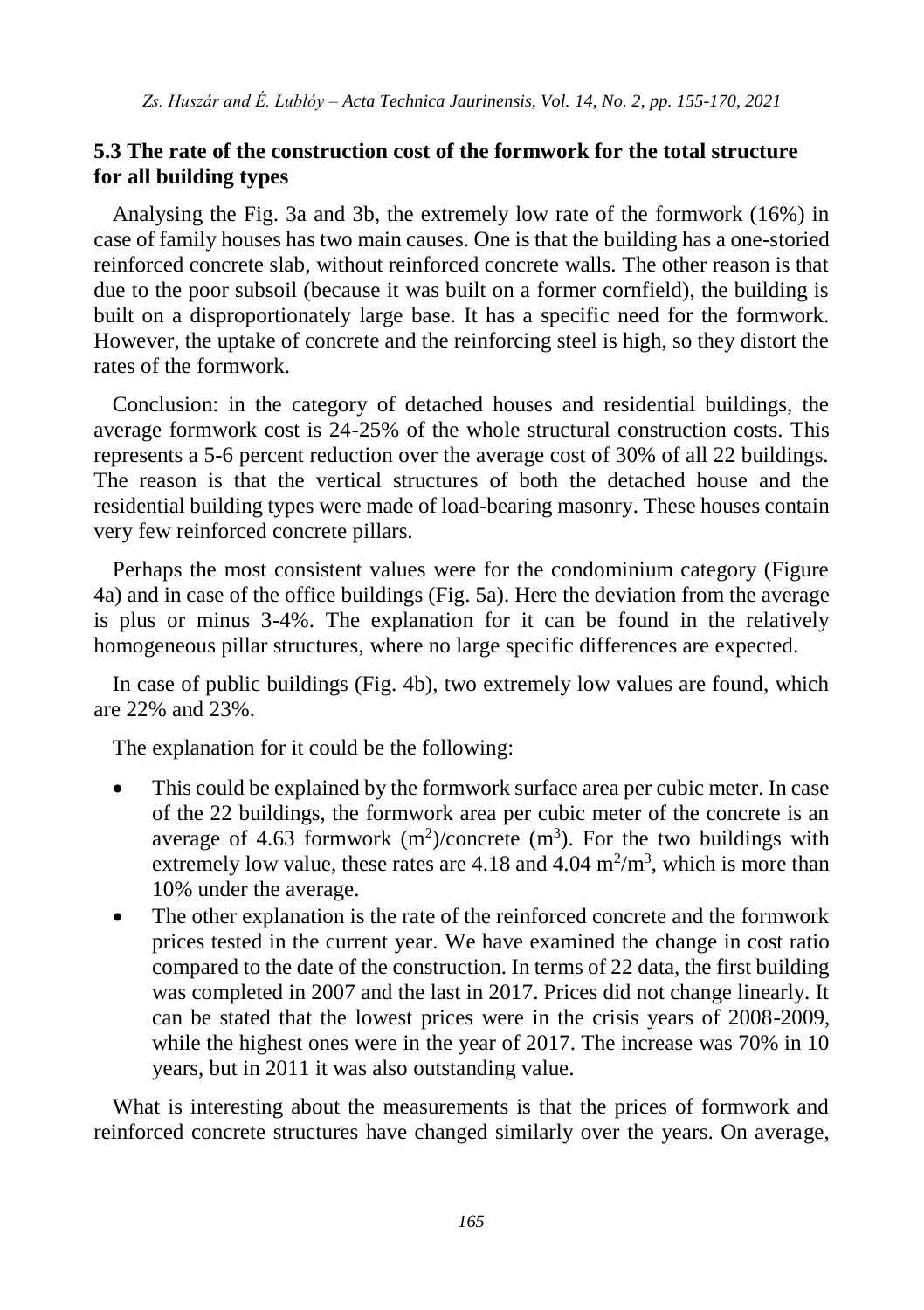#### **5.3 The rate of the construction cost of the formwork for the total structure for all building types**

Analysing the Fig. 3a and 3b, the extremely low rate of the formwork (16%) in case of family houses has two main causes. One is that the building has a one-storied reinforced concrete slab, without reinforced concrete walls. The other reason is that due to the poor subsoil (because it was built on a former cornfield), the building is built on a disproportionately large base. It has a specific need for the formwork. However, the uptake of concrete and the reinforcing steel is high, so they distort the rates of the formwork.

Conclusion: in the category of detached houses and residential buildings, the average formwork cost is 24-25% of the whole structural construction costs. This represents a 5-6 percent reduction over the average cost of 30% of all 22 buildings. The reason is that the vertical structures of both the detached house and the residential building types were made of load-bearing masonry. These houses contain very few reinforced concrete pillars.

Perhaps the most consistent values were for the condominium category (Figure 4a) and in case of the office buildings (Fig. 5a). Here the deviation from the average is plus or minus 3-4%. The explanation for it can be found in the relatively homogeneous pillar structures, where no large specific differences are expected.

In case of public buildings (Fig. 4b), two extremely low values are found, which are 22% and 23%.

The explanation for it could be the following:

- This could be explained by the formwork surface area per cubic meter. In case of the 22 buildings, the formwork area per cubic meter of the concrete is an average of 4.63 formwork  $(m^2)/$ concrete  $(m^3)$ . For the two buildings with extremely low value, these rates are  $4.18$  and  $4.04 \text{ m}^2/\text{m}^3$ , which is more than 10% under the average.
- The other explanation is the rate of the reinforced concrete and the formwork prices tested in the current year. We have examined the change in cost ratio compared to the date of the construction. In terms of 22 data, the first building was completed in 2007 and the last in 2017. Prices did not change linearly. It can be stated that the lowest prices were in the crisis years of 2008-2009, while the highest ones were in the year of 2017. The increase was 70% in 10 years, but in 2011 it was also outstanding value.

What is interesting about the measurements is that the prices of formwork and reinforced concrete structures have changed similarly over the years. On average,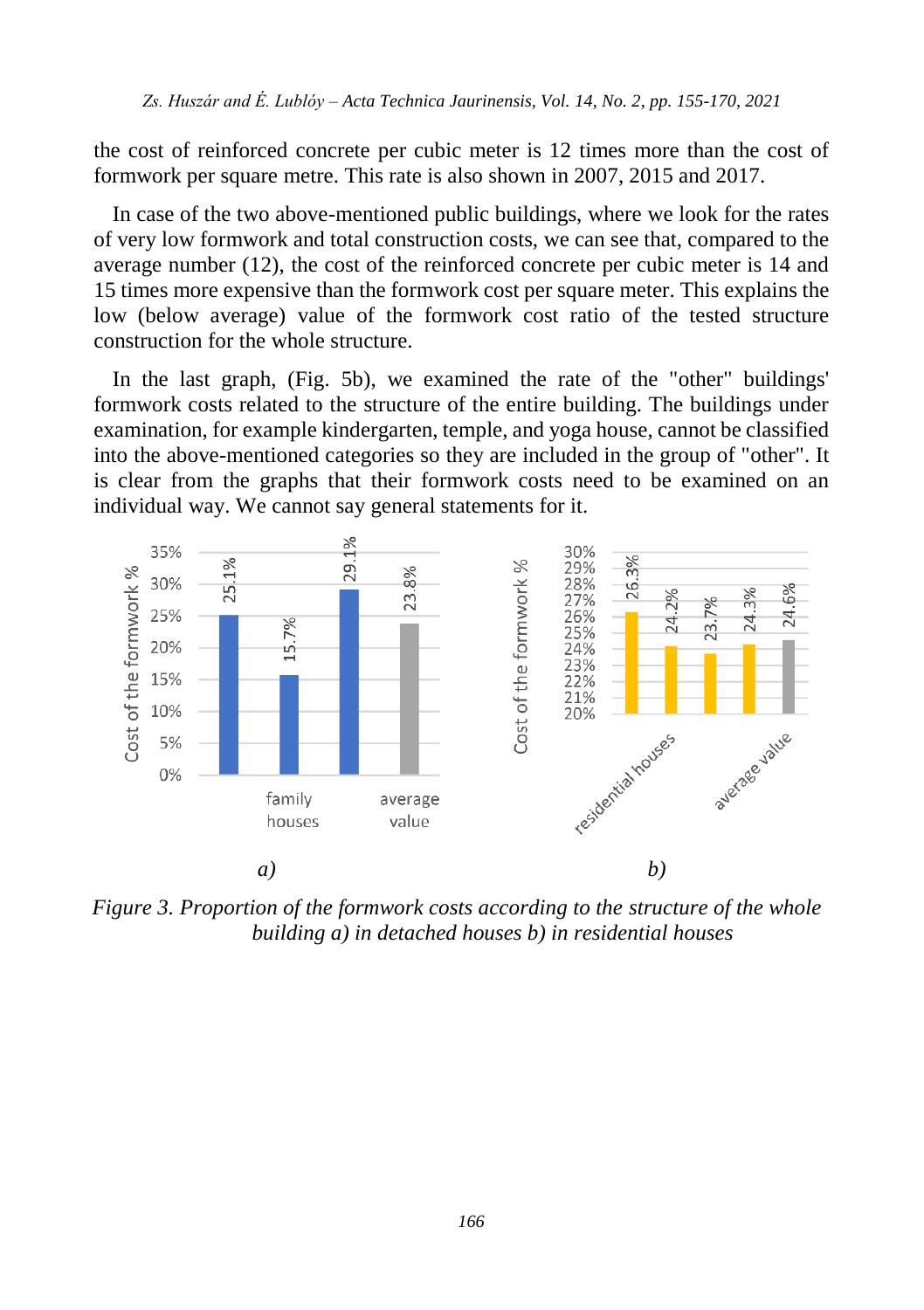the cost of reinforced concrete per cubic meter is 12 times more than the cost of formwork per square metre. This rate is also shown in 2007, 2015 and 2017.

In case of the two above-mentioned public buildings, where we look for the rates of very low formwork and total construction costs, we can see that, compared to the average number (12), the cost of the reinforced concrete per cubic meter is 14 and 15 times more expensive than the formwork cost per square meter. This explains the low (below average) value of the formwork cost ratio of the tested structure construction for the whole structure.

In the last graph, (Fig. 5b), we examined the rate of the "other" buildings' formwork costs related to the structure of the entire building. The buildings under examination, for example kindergarten, temple, and yoga house, cannot be classified into the above-mentioned categories so they are included in the group of "other". It is clear from the graphs that their formwork costs need to be examined on an individual way. We cannot say general statements for it.



*Figure 3. Proportion of the formwork costs according to the structure of the whole building a) in detached houses b) in residential houses*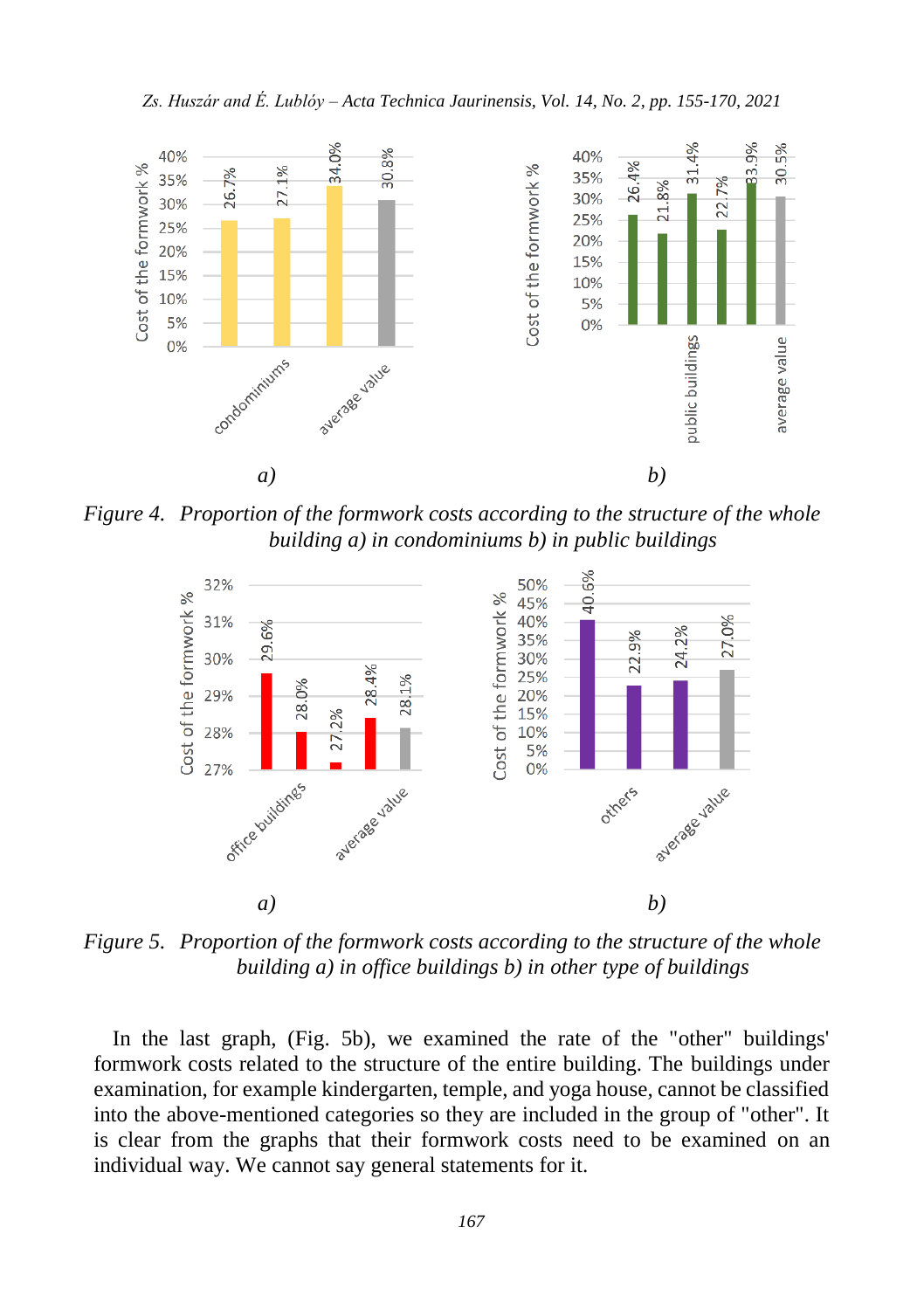

*Figure 4. Proportion of the formwork costs according to the structure of the whole building a) in condominiums b) in public buildings*



*Figure 5. Proportion of the formwork costs according to the structure of the whole building a) in office buildings b) in other type of buildings*

In the last graph, (Fig. 5b), we examined the rate of the "other" buildings' formwork costs related to the structure of the entire building. The buildings under examination, for example kindergarten, temple, and yoga house, cannot be classified into the above-mentioned categories so they are included in the group of "other". It is clear from the graphs that their formwork costs need to be examined on an individual way. We cannot say general statements for it.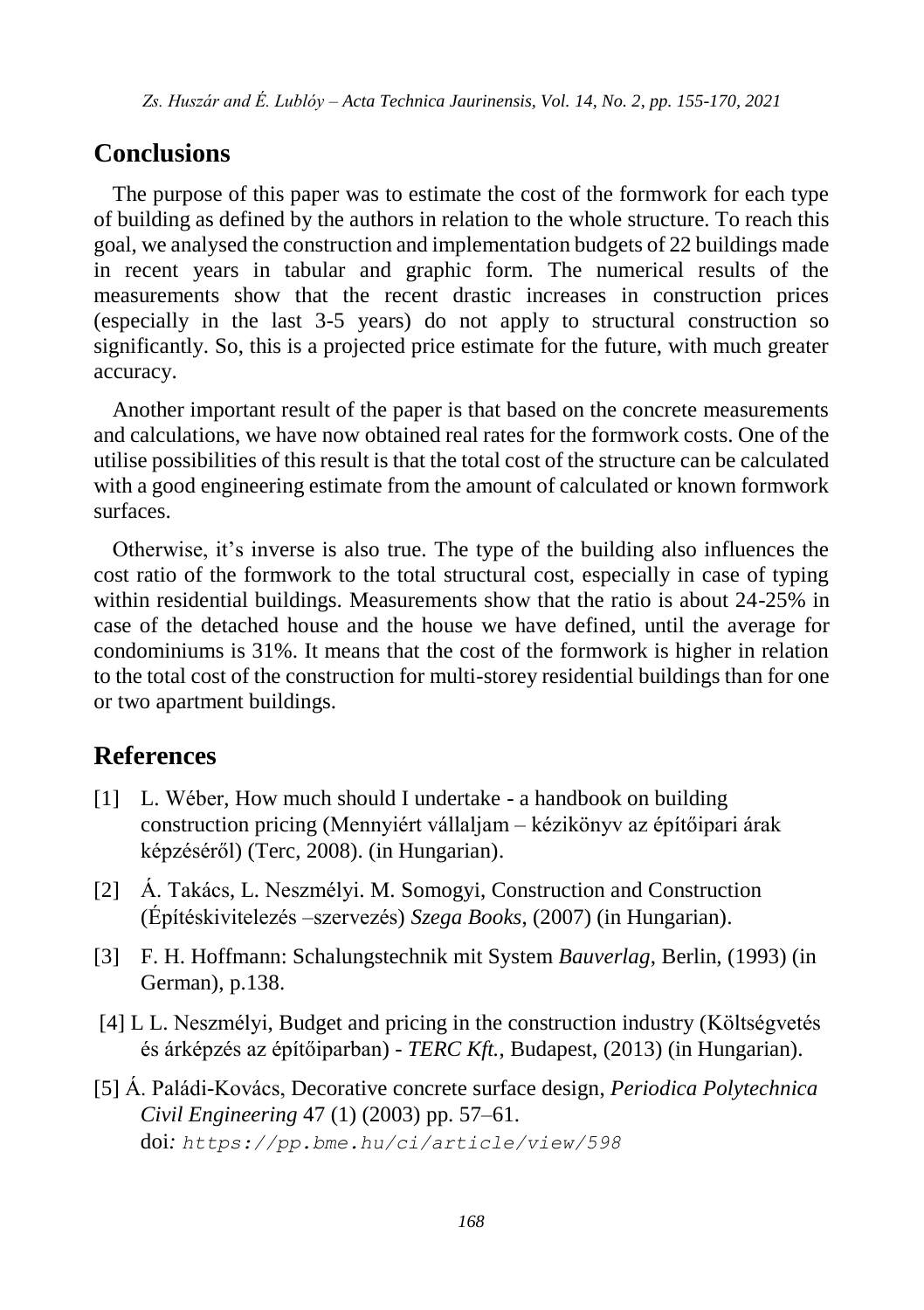## **Conclusions**

The purpose of this paper was to estimate the cost of the formwork for each type of building as defined by the authors in relation to the whole structure. To reach this goal, we analysed the construction and implementation budgets of 22 buildings made in recent years in tabular and graphic form. The numerical results of the measurements show that the recent drastic increases in construction prices (especially in the last 3-5 years) do not apply to structural construction so significantly. So, this is a projected price estimate for the future, with much greater accuracy.

Another important result of the paper is that based on the concrete measurements and calculations, we have now obtained real rates for the formwork costs. One of the utilise possibilities of this result is that the total cost of the structure can be calculated with a good engineering estimate from the amount of calculated or known formwork surfaces.

Otherwise, it's inverse is also true. The type of the building also influences the cost ratio of the formwork to the total structural cost, especially in case of typing within residential buildings. Measurements show that the ratio is about 24-25% in case of the detached house and the house we have defined, until the average for condominiums is 31%. It means that the cost of the formwork is higher in relation to the total cost of the construction for multi-storey residential buildings than for one or two apartment buildings.

## **References**

- [1] L. Wéber, How much should I undertake a handbook on building construction pricing (Mennyiért vállaljam – kézikönyv az építőipari árak képzéséről) (Terc, 2008). (in Hungarian).
- [2] Á. Takács, L. Neszmélyi. M. Somogyi, Construction and Construction (Építéskivitelezés –szervezés) *Szega Books*, (2007) (in Hungarian).
- [3] F. H. Hoffmann: Schalungstechnik mit System *Bauverlag*, Berlin, (1993) (in German), p.138.
- [4] L L. Neszmélyi, Budget and pricing in the construction industry (Költségvetés és árképzés az építőiparban) - *TERC Kft.*, Budapest, (2013) (in Hungarian).
- [5] Á. Paládi-Kovács, Decorative concrete surface design, *Periodica Polytechnica Civil Engineering* 47 (1) (2003) pp. 57–61. doi*: <https://pp.bme.hu/ci/article/view/598>*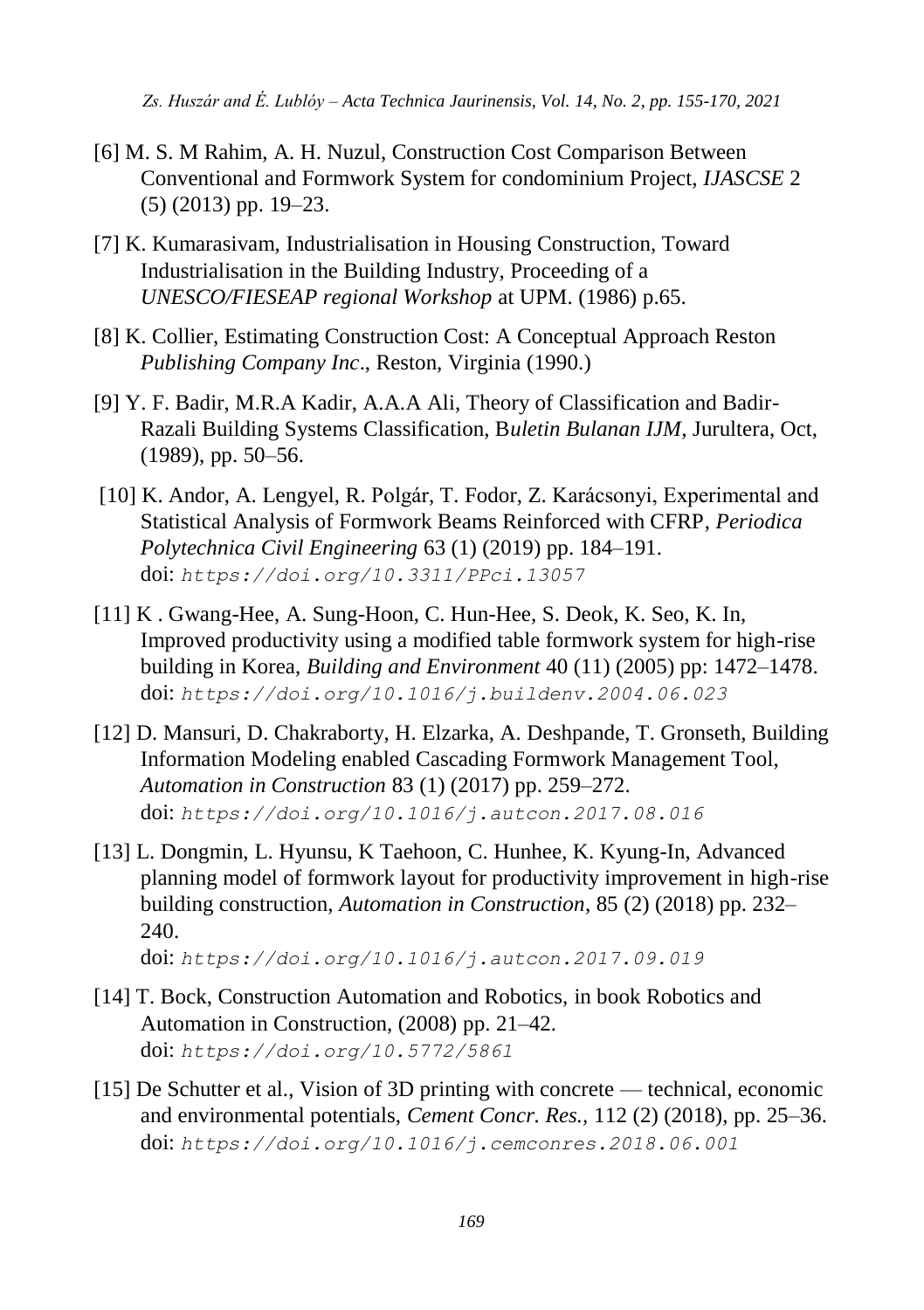- [6] M. S. M Rahim, A. H. Nuzul, Construction Cost Comparison Between Conventional and Formwork System for condominium Project, *IJASCSE* 2 (5) (2013) pp. 19–23.
- [7] K. Kumarasivam, Industrialisation in Housing Construction, Toward Industrialisation in the Building Industry, Proceeding of a *UNESCO/FIESEAP regional Workshop* at UPM. (1986) p.65.
- [8] K. Collier, Estimating Construction Cost: A Conceptual Approach Reston *Publishing Company Inc*., Reston, Virginia (1990.)
- [9] Y. F. Badir, M.R.A Kadir, A.A.A Ali, Theory of Classification and Badir-Razali Building Systems Classification, B*uletin Bulanan IJM*, Jurultera, Oct, (1989), pp. 50–56.
- [10] K. Andor, A. Lengyel, R. Polgár, T. Fodor, Z. Karácsonyi, Experimental and Statistical Analysis of Formwork Beams Reinforced with CFRP, *Periodica Polytechnica Civil Engineering* 63 (1) (2019) pp. 184–191. doi: *<https://doi.org/10.3311/PPci.13057>*
- [11] K . Gwang-Hee, A. Sung-Hoon, C. Hun-Hee, S. Deok, K. Seo, K. In, Improved productivity using a modified table formwork system for high-rise building in Korea, *Building and Environment* 40 (11) (2005) pp: 1472–1478. doi: *<https://doi.org/10.1016/j.buildenv.2004.06.023>*
- [12] D. Mansuri, D. Chakraborty, H. Elzarka, A. Deshpande, T. Gronseth, Building Information Modeling enabled Cascading Formwork Management Tool, *Automation in Construction* 83 (1) (2017) pp. 259–272. doi: *<https://doi.org/10.1016/j.autcon.2017.08.016>*
- [13] L. Dongmin, L. Hyunsu, K Taehoon, C. Hunhee, K. Kyung-In, Advanced planning model of formwork layout for productivity improvement in high-rise building construction, *Automation in Construction*, 85 (2) (2018) pp. 232– 240.

doi: *<https://doi.org/10.1016/j.autcon.2017.09.019>*

- [14] T. Bock, Construction Automation and Robotics, in book Robotics and Automation in Construction, (2008) pp. 21–42. doi: *<https://doi.org/10.5772/5861>*
- [15] De Schutter et al., Vision of 3D printing with concrete technical, economic and environmental potentials, *Cement Concr. Res.,* 112 (2) (2018), pp. 25–36. doi: *<https://doi.org/10.1016/j.cemconres.2018.06.001>*